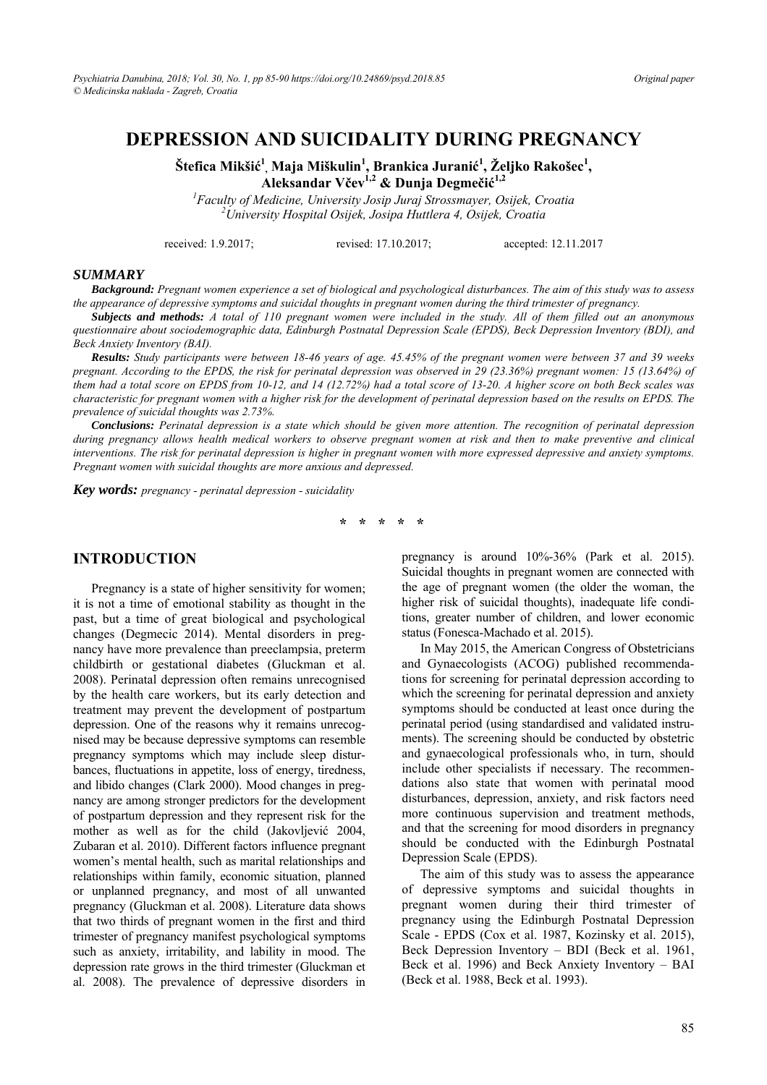## **DEPRESSION AND SUICIDALITY DURING PREGNANCY**

 $\check{\textbf{S}}$ tefica Mikšić $^{1}$ , Maja Miškulin $^{1}$ , Brankica Juranić $^{1}$ , Željko Rakošec $^{1}$ , **Aleksandar Včev1,2 & Dunja Degmečić 1,2**

<sup>1</sup> Faculty of Medicine, University Josip Juraj Strossmayer, Osijek, Croatia <sup>2</sup> University Hespital Osijek, Lesing Huttlewa A. Osijek, Croatia *University Hospital Osijek, Josipa Huttlera 4, Osijek, Croatia* 

received: 1.9.2017; revised: 17.10.2017; accepted: 12.11.2017

#### *SUMMARY*

*Background: Pregnant women experience a set of biological and psychological disturbances. The aim of this study was to assess the appearance of depressive symptoms and suicidal thoughts in pregnant women during the third trimester of pregnancy.* 

*Subjects and methods: A total of 110 pregnant women were included in the study. All of them filled out an anonymous questionnaire about sociodemographic data, Edinburgh Postnatal Depression Scale (EPDS), Beck Depression Inventory (BDI), and Beck Anxiety Inventory (BAI).* 

*Results: Study participants were between 18-46 years of age. 45.45% of the pregnant women were between 37 and 39 weeks pregnant. According to the EPDS, the risk for perinatal depression was observed in 29 (23.36%) pregnant women: 15 (13.64%) of them had a total score on EPDS from 10-12, and 14 (12.72%) had a total score of 13-20. A higher score on both Beck scales was characteristic for pregnant women with a higher risk for the development of perinatal depression based on the results on EPDS. The prevalence of suicidal thoughts was 2.73%.* 

*Conclusions: Perinatal depression is a state which should be given more attention. The recognition of perinatal depression during pregnancy allows health medical workers to observe pregnant women at risk and then to make preventive and clinical interventions. The risk for perinatal depression is higher in pregnant women with more expressed depressive and anxiety symptoms. Pregnant women with suicidal thoughts are more anxious and depressed.* 

*Key words: pregnancy - perinatal depression - suicidality* 

**\* \* \* \* \*** 

### **INTRODUCTION**

Pregnancy is a state of higher sensitivity for women; it is not a time of emotional stability as thought in the past, but a time of great biological and psychological changes (Degmecic 2014). Mental disorders in pregnancy have more prevalence than preeclampsia, preterm childbirth or gestational diabetes (Gluckman et al. 2008). Perinatal depression often remains unrecognised by the health care workers, but its early detection and treatment may prevent the development of postpartum depression. One of the reasons why it remains unrecognised may be because depressive symptoms can resemble pregnancy symptoms which may include sleep disturbances, fluctuations in appetite, loss of energy, tiredness, and libido changes (Clark 2000). Mood changes in pregnancy are among stronger predictors for the development of postpartum depression and they represent risk for the mother as well as for the child (Jakovljević 2004, Zubaran et al. 2010). Different factors influence pregnant women's mental health, such as marital relationships and relationships within family, economic situation, planned or unplanned pregnancy, and most of all unwanted pregnancy (Gluckman et al. 2008). Literature data shows that two thirds of pregnant women in the first and third trimester of pregnancy manifest psychological symptoms such as anxiety, irritability, and lability in mood. The depression rate grows in the third trimester (Gluckman et al. 2008). The prevalence of depressive disorders in

pregnancy is around 10%-36% (Park et al. 2015). Suicidal thoughts in pregnant women are connected with the age of pregnant women (the older the woman, the higher risk of suicidal thoughts), inadequate life conditions, greater number of children, and lower economic status (Fonesca-Machado et al. 2015).

In May 2015, the American Congress of Obstetricians and Gynaecologists (ACOG) published recommendations for screening for perinatal depression according to which the screening for perinatal depression and anxiety symptoms should be conducted at least once during the perinatal period (using standardised and validated instruments). The screening should be conducted by obstetric and gynaecological professionals who, in turn, should include other specialists if necessary. The recommendations also state that women with perinatal mood disturbances, depression, anxiety, and risk factors need more continuous supervision and treatment methods, and that the screening for mood disorders in pregnancy should be conducted with the Edinburgh Postnatal Depression Scale (EPDS).

The aim of this study was to assess the appearance of depressive symptoms and suicidal thoughts in pregnant women during their third trimester of pregnancy using the Edinburgh Postnatal Depression Scale - EPDS (Cox et al. 1987, Kozinsky et al. 2015), Beck Depression Inventory – BDI (Beck et al. 1961, Beck et al. 1996) and Beck Anxiety Inventory – BAI (Beck et al. 1988, Beck et al. 1993).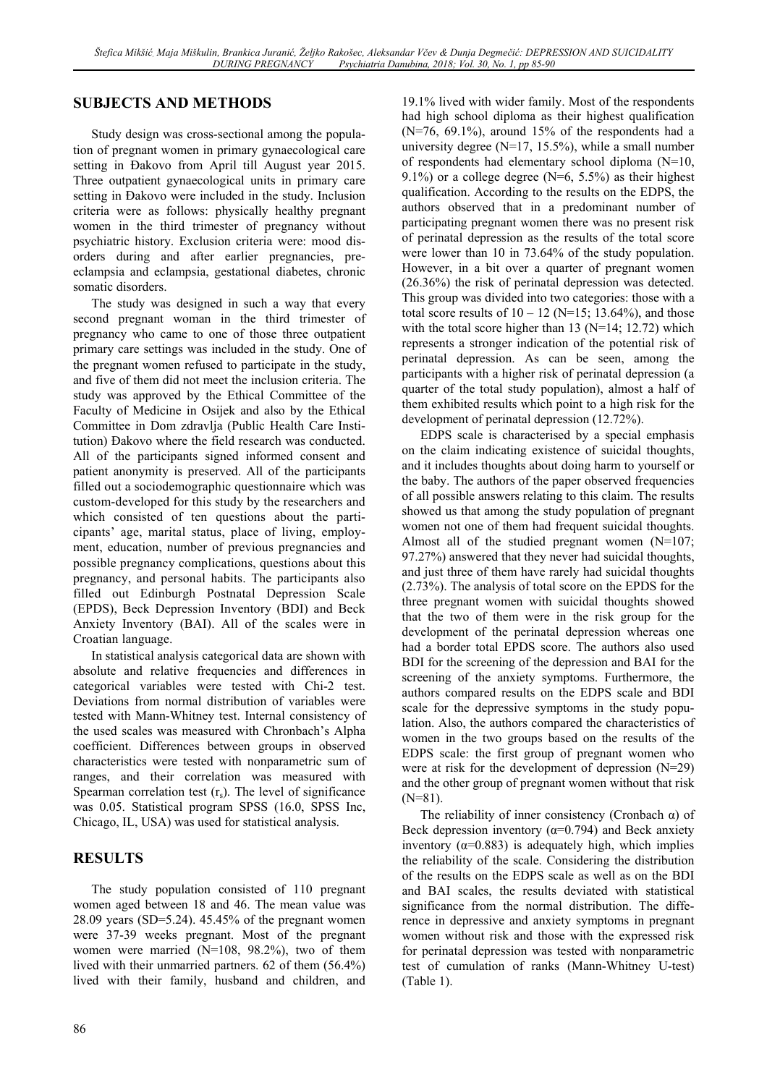## **SUBJECTS AND METHODS**

Study design was cross-sectional among the population of pregnant women in primary gynaecological care setting in Đakovo from April till August year 2015. Three outpatient gynaecological units in primary care setting in Đakovo were included in the study. Inclusion criteria were as follows: physically healthy pregnant women in the third trimester of pregnancy without psychiatric history. Exclusion criteria were: mood disorders during and after earlier pregnancies, preeclampsia and eclampsia, gestational diabetes, chronic somatic disorders.

The study was designed in such a way that every second pregnant woman in the third trimester of pregnancy who came to one of those three outpatient primary care settings was included in the study. One of the pregnant women refused to participate in the study, and five of them did not meet the inclusion criteria. The study was approved by the Ethical Committee of the Faculty of Medicine in Osijek and also by the Ethical Committee in Dom zdravlja (Public Health Care Institution) Đakovo where the field research was conducted. All of the participants signed informed consent and patient anonymity is preserved. All of the participants filled out a sociodemographic questionnaire which was custom-developed for this study by the researchers and which consisted of ten questions about the participants' age, marital status, place of living, employment, education, number of previous pregnancies and possible pregnancy complications, questions about this pregnancy, and personal habits. The participants also filled out Edinburgh Postnatal Depression Scale (EPDS), Beck Depression Inventory (BDI) and Beck Anxiety Inventory (BAI). All of the scales were in Croatian language.

In statistical analysis categorical data are shown with absolute and relative frequencies and differences in categorical variables were tested with Chi-2 test. Deviations from normal distribution of variables were tested with Mann-Whitney test. Internal consistency of the used scales was measured with Chronbach's Alpha coefficient. Differences between groups in observed characteristics were tested with nonparametric sum of ranges, and their correlation was measured with Spearman correlation test  $(r<sub>s</sub>)$ . The level of significance was 0.05. Statistical program SPSS (16.0, SPSS Inc, Chicago, IL, USA) was used for statistical analysis.

## **RESULTS**

The study population consisted of 110 pregnant women aged between 18 and 46. The mean value was 28.09 years (SD=5.24). 45.45% of the pregnant women were 37-39 weeks pregnant. Most of the pregnant women were married (N=108, 98.2%), two of them lived with their unmarried partners. 62 of them (56.4%) lived with their family, husband and children, and

19.1% lived with wider family. Most of the respondents had high school diploma as their highest qualification  $(N=76, 69.1\%)$ , around 15% of the respondents had a university degree (N=17, 15.5%), while a small number of respondents had elementary school diploma (N=10, 9.1%) or a college degree  $(N=6, 5.5%)$  as their highest qualification. According to the results on the EDPS, the authors observed that in a predominant number of participating pregnant women there was no present risk of perinatal depression as the results of the total score were lower than 10 in 73.64% of the study population. However, in a bit over a quarter of pregnant women (26.36%) the risk of perinatal depression was detected. This group was divided into two categories: those with a total score results of  $10 - 12$  (N=15; 13.64%), and those with the total score higher than  $13$  (N=14; 12.72) which represents a stronger indication of the potential risk of perinatal depression. As can be seen, among the participants with a higher risk of perinatal depression (a quarter of the total study population), almost a half of them exhibited results which point to a high risk for the development of perinatal depression (12.72%).

EDPS scale is characterised by a special emphasis on the claim indicating existence of suicidal thoughts, and it includes thoughts about doing harm to yourself or the baby. The authors of the paper observed frequencies of all possible answers relating to this claim. The results showed us that among the study population of pregnant women not one of them had frequent suicidal thoughts. Almost all of the studied pregnant women (N=107; 97.27%) answered that they never had suicidal thoughts, and just three of them have rarely had suicidal thoughts (2.73%). The analysis of total score on the EPDS for the three pregnant women with suicidal thoughts showed that the two of them were in the risk group for the development of the perinatal depression whereas one had a border total EPDS score. The authors also used BDI for the screening of the depression and BAI for the screening of the anxiety symptoms. Furthermore, the authors compared results on the EDPS scale and BDI scale for the depressive symptoms in the study population. Also, the authors compared the characteristics of women in the two groups based on the results of the EDPS scale: the first group of pregnant women who were at risk for the development of depression (N=29) and the other group of pregnant women without that risk  $(N=81)$ .

The reliability of inner consistency (Cronbach  $\alpha$ ) of Beck depression inventory ( $\alpha$ =0.794) and Beck anxiety inventory ( $\alpha$ =0.883) is adequately high, which implies the reliability of the scale. Considering the distribution of the results on the EDPS scale as well as on the BDI and BAI scales, the results deviated with statistical significance from the normal distribution. The difference in depressive and anxiety symptoms in pregnant women without risk and those with the expressed risk for perinatal depression was tested with nonparametric test of cumulation of ranks (Mann-Whitney U-test) (Table 1).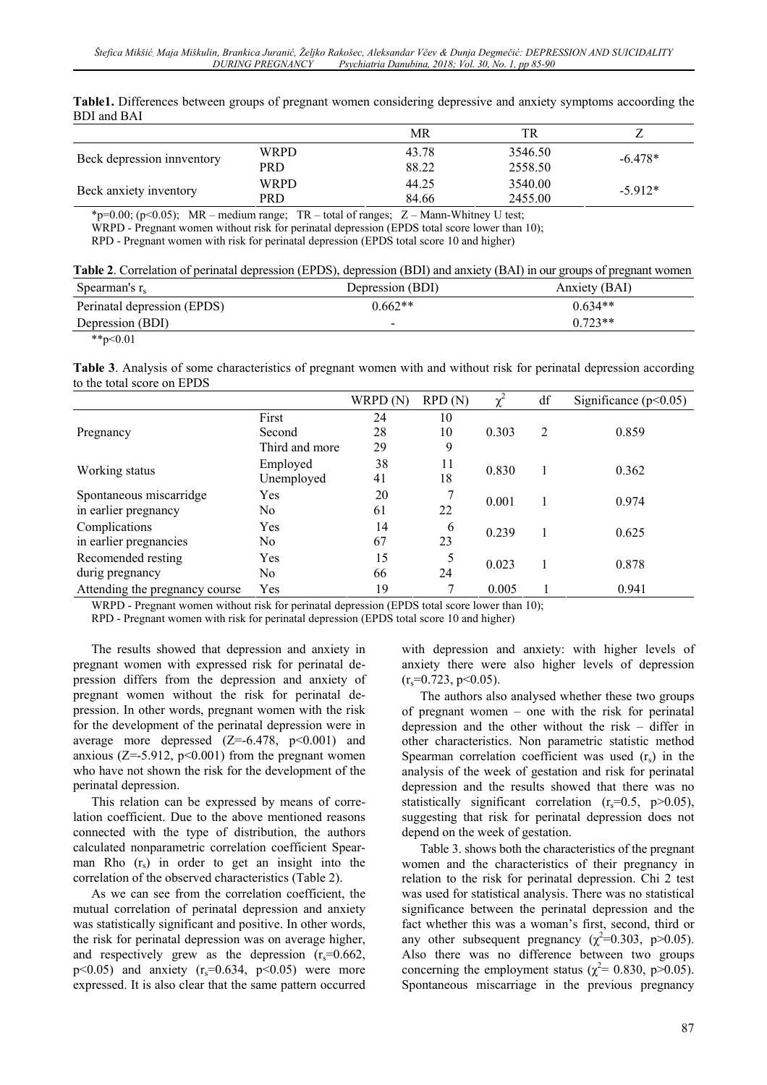**Table1.** Differences between groups of pregnant women considering depressive and anxiety symptoms accoording the BDI and BAI

|                            |      | MR    | TR.     |           |
|----------------------------|------|-------|---------|-----------|
| Beck depression innventory | WRPD | 43.78 | 3546.50 |           |
|                            | PRD  | 88.22 | 2558.50 | $-6.478*$ |
| Beck anxiety inventory     | WRPD | 44.25 | 3540.00 | $-5.912*$ |
|                            | PRD  | 84.66 | 2455.00 |           |

\*p=0.00; (p<0.05); MR – medium range;  $TR$  – total of ranges;  $Z$  – Mann-Whitney U test;

WRPD - Pregnant women without risk for perinatal depression (EPDS total score lower than 10);

RPD - Pregnant women with risk for perinatal depression (EPDS total score 10 and higher)

|  |  |  |  | Table 2. Correlation of perinatal depression (EPDS), depression (BDI) and anxiety (BAI) in our groups of pregnant women |
|--|--|--|--|-------------------------------------------------------------------------------------------------------------------------|
|--|--|--|--|-------------------------------------------------------------------------------------------------------------------------|

| Spearman's $r_s$            | Depression (BDI)         | Anxiety (BAI) |
|-----------------------------|--------------------------|---------------|
| Perinatal depression (EPDS) | $0.662**$                | $0.634**$     |
| Depression (BDI)            | $\overline{\phantom{a}}$ | $0.723**$     |
| .                           |                          |               |

 $*$  $p<0.01$ 

**Table 3**. Analysis of some characteristics of pregnant women with and without risk for perinatal depression according to the total score on EPDS

|                                |                | WRPD (N) | RPD(N) | $\chi^2$ | df             | Significance $(p<0.05)$ |
|--------------------------------|----------------|----------|--------|----------|----------------|-------------------------|
| Pregnancy                      | First          | 24       | 10     |          |                |                         |
|                                | Second         | 28       | 10     | 0.303    | $\mathfrak{D}$ | 0.859                   |
|                                | Third and more | 29       | 9      |          |                |                         |
| Working status                 | Employed       | 38       | 11     | 0.830    |                | 0.362                   |
|                                | Unemployed     | 41       | 18     |          |                |                         |
| Spontaneous miscarridge        | Yes            | 20       |        | 0.001    |                | 0.974                   |
| in earlier pregnancy           | No.            | 61       | 22     |          |                |                         |
| Complications                  | Yes            | 14       | 6      | 0.239    |                | 0.625                   |
| in earlier pregnancies         | No.            | 67       | 23     |          |                |                         |
| Recomended resting             | Yes            | 15       | 5      | 0.023    |                | 0.878                   |
| durig pregnancy                | No.            | 66       | 24     |          |                |                         |
| Attending the pregnancy course | Yes            | 19       |        | 0.005    |                | 0.941                   |

WRPD - Pregnant women without risk for perinatal depression (EPDS total score lower than 10);

RPD - Pregnant women with risk for perinatal depression (EPDS total score 10 and higher)

The results showed that depression and anxiety in pregnant women with expressed risk for perinatal depression differs from the depression and anxiety of pregnant women without the risk for perinatal depression. In other words, pregnant women with the risk for the development of the perinatal depression were in average more depressed  $(Z=-6.478, p<0.001)$  and anxious ( $Z = -5.912$ ,  $p < 0.001$ ) from the pregnant women who have not shown the risk for the development of the perinatal depression.

This relation can be expressed by means of correlation coefficient. Due to the above mentioned reasons connected with the type of distribution, the authors calculated nonparametric correlation coefficient Spearman Rho  $(r<sub>s</sub>)$  in order to get an insight into the correlation of the observed characteristics (Table 2).

As we can see from the correlation coefficient, the mutual correlation of perinatal depression and anxiety was statistically significant and positive. In other words, the risk for perinatal depression was on average higher, and respectively grew as the depression  $(r_s=0.662)$ ,  $p<0.05$ ) and anxiety ( $r_s=0.634$ ,  $p<0.05$ ) were more expressed. It is also clear that the same pattern occurred

with depression and anxiety: with higher levels of anxiety there were also higher levels of depression  $(r_s=0.723, p<0.05)$ .

The authors also analysed whether these two groups of pregnant women – one with the risk for perinatal depression and the other without the risk – differ in other characteristics. Non parametric statistic method Spearman correlation coefficient was used  $(r<sub>s</sub>)$  in the analysis of the week of gestation and risk for perinatal depression and the results showed that there was no statistically significant correlation  $(r_s=0.5, p>0.05)$ , suggesting that risk for perinatal depression does not depend on the week of gestation.

Table 3. shows both the characteristics of the pregnant women and the characteristics of their pregnancy in relation to the risk for perinatal depression. Chi 2 test was used for statistical analysis. There was no statistical significance between the perinatal depression and the fact whether this was a woman's first, second, third or any other subsequent pregnancy ( $\chi^2$ =0.303, p>0.05). Also there was no difference between two groups concerning the employment status ( $\chi^2$  = 0.830, p>0.05). Spontaneous miscarriage in the previous pregnancy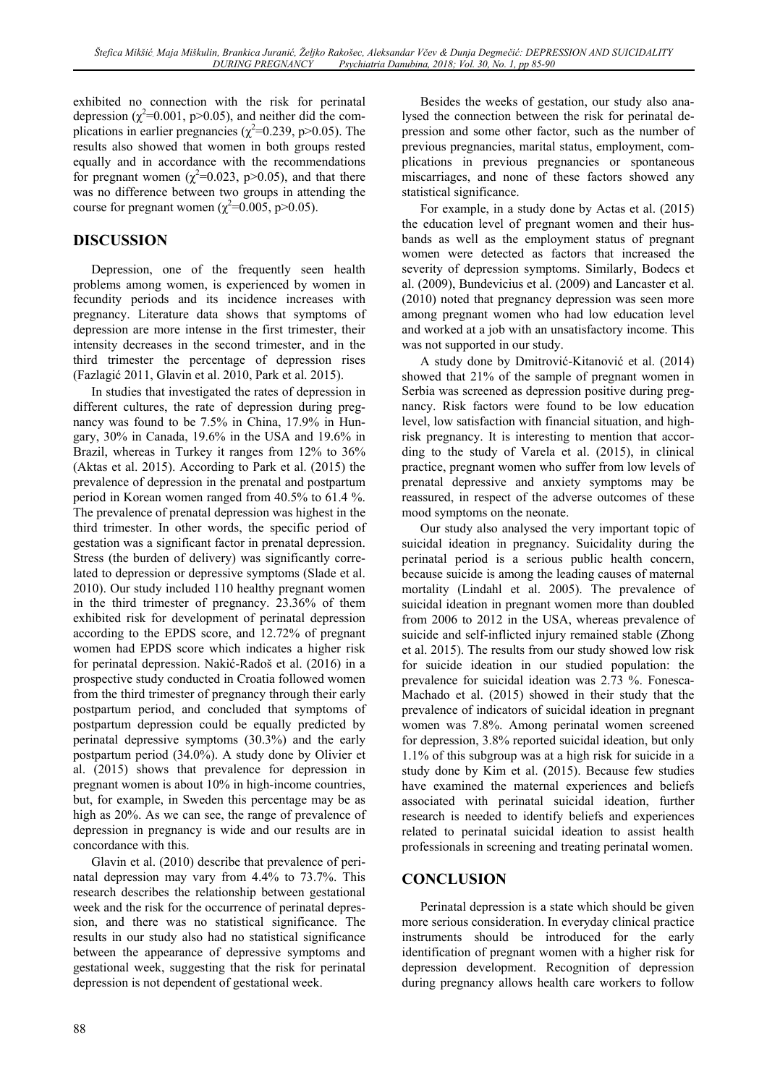exhibited no connection with the risk for perinatal depression ( $\chi^2$ =0.001, p>0.05), and neither did the complications in earlier pregnancies ( $\chi^2$ =0.239, p>0.05). The results also showed that women in both groups rested equally and in accordance with the recommendations for pregnant women ( $\chi^2$ =0.023, p>0.05), and that there was no difference between two groups in attending the course for pregnant women ( $\chi^2$ =0.005, p>0.05).

# **DISCUSSION**

Depression, one of the frequently seen health problems among women, is experienced by women in fecundity periods and its incidence increases with pregnancy. Literature data shows that symptoms of depression are more intense in the first trimester, their intensity decreases in the second trimester, and in the third trimester the percentage of depression rises (Fazlagić 2011, Glavin et al. 2010, Park et al. 2015).

In studies that investigated the rates of depression in different cultures, the rate of depression during pregnancy was found to be 7.5% in China, 17.9% in Hungary, 30% in Canada, 19.6% in the USA and 19.6% in Brazil, whereas in Turkey it ranges from 12% to 36% (Aktas et al. 2015). According to Park et al. (2015) the prevalence of depression in the prenatal and postpartum period in Korean women ranged from 40.5% to 61.4 %. The prevalence of prenatal depression was highest in the third trimester. In other words, the specific period of gestation was a significant factor in prenatal depression. Stress (the burden of delivery) was significantly correlated to depression or depressive symptoms (Slade et al. 2010). Our study included 110 healthy pregnant women in the third trimester of pregnancy. 23.36% of them exhibited risk for development of perinatal depression according to the EPDS score, and 12.72% of pregnant women had EPDS score which indicates a higher risk for perinatal depression. Nakić-Radoš et al. (2016) in a prospective study conducted in Croatia followed women from the third trimester of pregnancy through their early postpartum period, and concluded that symptoms of postpartum depression could be equally predicted by perinatal depressive symptoms (30.3%) and the early postpartum period (34.0%). A study done by Olivier et al. (2015) shows that prevalence for depression in pregnant women is about 10% in high-income countries, but, for example, in Sweden this percentage may be as high as 20%. As we can see, the range of prevalence of depression in pregnancy is wide and our results are in concordance with this.

Glavin et al. (2010) describe that prevalence of perinatal depression may vary from 4.4% to 73.7%. This research describes the relationship between gestational week and the risk for the occurrence of perinatal depression, and there was no statistical significance. The results in our study also had no statistical significance between the appearance of depressive symptoms and gestational week, suggesting that the risk for perinatal depression is not dependent of gestational week.

Besides the weeks of gestation, our study also analysed the connection between the risk for perinatal depression and some other factor, such as the number of previous pregnancies, marital status, employment, complications in previous pregnancies or spontaneous miscarriages, and none of these factors showed any statistical significance.

For example, in a study done by Actas et al. (2015) the education level of pregnant women and their husbands as well as the employment status of pregnant women were detected as factors that increased the severity of depression symptoms. Similarly, Bodecs et al. (2009), Bundevicius et al. (2009) and Lancaster et al. (2010) noted that pregnancy depression was seen more among pregnant women who had low education level and worked at a job with an unsatisfactory income. This was not supported in our study.

A study done by Dmitrović-Kitanović et al. (2014) showed that 21% of the sample of pregnant women in Serbia was screened as depression positive during pregnancy. Risk factors were found to be low education level, low satisfaction with financial situation, and highrisk pregnancy. It is interesting to mention that according to the study of Varela et al. (2015), in clinical practice, pregnant women who suffer from low levels of prenatal depressive and anxiety symptoms may be reassured, in respect of the adverse outcomes of these mood symptoms on the neonate.

Our study also analysed the very important topic of suicidal ideation in pregnancy. Suicidality during the perinatal period is a serious public health concern, because suicide is among the leading causes of maternal mortality (Lindahl et al. 2005). The prevalence of suicidal ideation in pregnant women more than doubled from 2006 to 2012 in the USA, whereas prevalence of suicide and self-inflicted injury remained stable (Zhong et al. 2015). The results from our study showed low risk for suicide ideation in our studied population: the prevalence for suicidal ideation was 2.73 %. Fonesca-Machado et al. (2015) showed in their study that the prevalence of indicators of suicidal ideation in pregnant women was 7.8%. Among perinatal women screened for depression, 3.8% reported suicidal ideation, but only 1.1% of this subgroup was at a high risk for suicide in a study done by Kim et al. (2015). Because few studies have examined the maternal experiences and beliefs associated with perinatal suicidal ideation, further research is needed to identify beliefs and experiences related to perinatal suicidal ideation to assist health professionals in screening and treating perinatal women.

### **CONCLUSION**

Perinatal depression is a state which should be given more serious consideration. In everyday clinical practice instruments should be introduced for the early identification of pregnant women with a higher risk for depression development. Recognition of depression during pregnancy allows health care workers to follow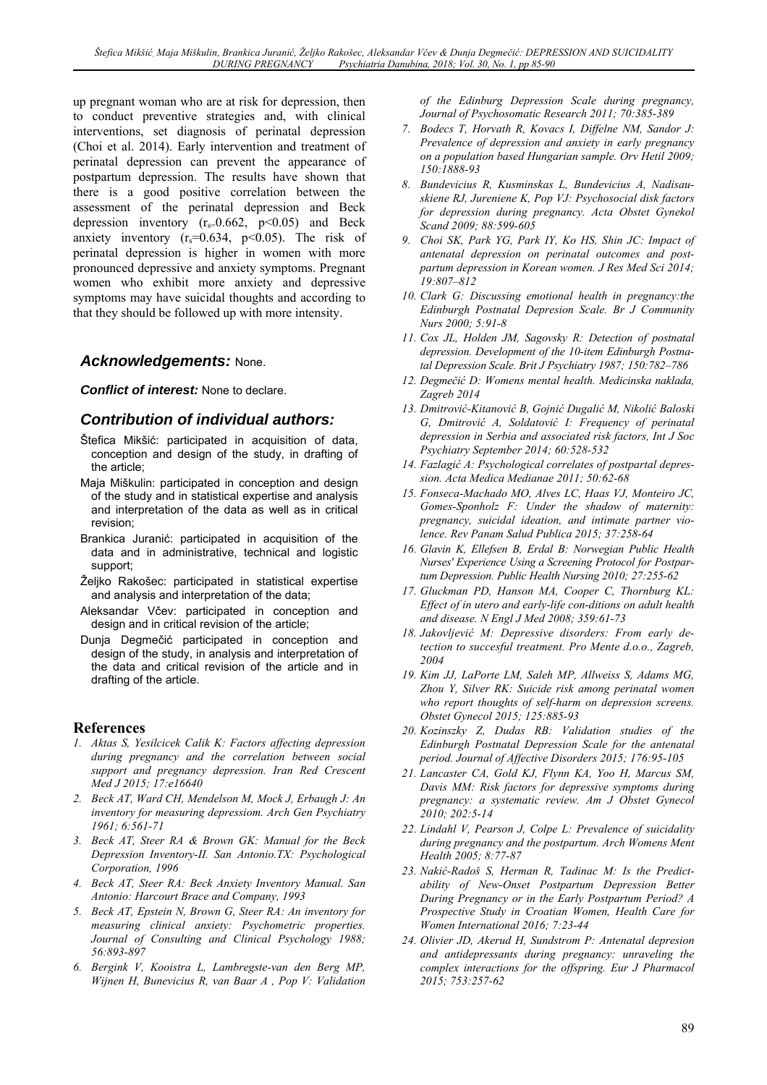up pregnant woman who are at risk for depression, then to conduct preventive strategies and, with clinical interventions, set diagnosis of perinatal depression (Choi et al. 2014). Early intervention and treatment of perinatal depression can prevent the appearance of postpartum depression. The results have shown that there is a good positive correlation between the assessment of the perinatal depression and Beck depression inventory  $(r<sub>s</sub>=0.662, p<0.05)$  and Beck anxiety inventory  $(r_s=0.634, p<0.05)$ . The risk of perinatal depression is higher in women with more pronounced depressive and anxiety symptoms. Pregnant women who exhibit more anxiety and depressive symptoms may have suicidal thoughts and according to that they should be followed up with more intensity.

#### *Acknowledgements:* None.

*Conflict of interest:* None to declare.

### *Contribution of individual authors:*

- Štefica Mikšić: participated in acquisition of data, conception and design of the study, in drafting of the article;
- Maja Miškulin: participated in conception and design of the study and in statistical expertise and analysis and interpretation of the data as well as in critical revision;
- Brankica Juranić: participated in acquisition of the data and in administrative, technical and logistic support;
- Željko Rakošec: participated in statistical expertise and analysis and interpretation of the data;
- Aleksandar Včev: participated in conception and design and in critical revision of the article;
- Dunja Degmečić participated in conception and design of the study, in analysis and interpretation of the data and critical revision of the article and in drafting of the article.

#### **References**

- *1. Aktas S, Yesilcicek Calik K: Factors affecting depression during pregnancy and the correlation between social support and pregnancy depression. Iran Red Crescent Med J 2015; 17:e16640*
- *2. Beck AT, Ward CH, Mendelson M, Mock J, Erbaugh J: An inventory for measuring depressiom. Arch Gen Psychiatry 1961; 6:561-71*
- *3. Beck AT, Steer RA & Brown GK: Manual for the Beck Depression Inventory-II. San Antonio.TX: Psychological Corporation, 1996*
- *4. Beck AT, Steer RA: Beck Anxiety Inventory Manual. San Antonio: Harcourt Brace and Company, 1993*
- *5. Beck AT, Epstein N, Brown G, Steer RA: An inventory for measuring clinical anxiety: Psychometric properties. Journal of Consulting and Clinical Psychology 1988; 56:893-897*
- *6. Bergink V, Kooistra L, Lambregste-van den Berg MP, Wijnen H, Bunevicius R, van Baar A , Pop V: Validation*

*of the Edinburg Depression Scale during pregnancy, Journal of Psychosomatic Research 2011; 70:385-389* 

- *7. Bodecs T, Horvath R, Kovacs I, Diffelne NM, Sandor J: Prevalence of depression and anxiety in early pregnancy on a population based Hungarian sample. Orv Hetil 2009; 150:1888-93*
- *8. Bundevicius R, Kusminskas L, Bundevicius A, Nadisauskiene RJ, Jureniene K, Pop VJ: Psychosocial disk factors for depression during pregnancy. Acta Obstet Gynekol Scand 2009; 88:599-605*
- *9. Choi SK, Park YG, Park IY, Ko HS, Shin JC: Impact of antenatal depression on perinatal outcomes and postpartum depression in Korean women. J Res Med Sci 2014; 19:807–812*
- *10. Clark G: Discussing emotional health in pregnancy:the Edinburgh Postnatal Depresion Scale. Br J Community Nurs 2000; 5:91-8*
- *11. Cox JL, Holden JM, Sagovsky R: Detection of postnatal depression. Development of the 10-item Edinburgh Postnatal Depression Scale. Brit J Psychiatry 1987; 150:782–786*
- *12. Degmečić D: Womens mental health. Medicinska naklada, Zagreb 2014*
- *13. Dmitrović-Kitanović B, Gojnić Dugalić M, Nikolić Baloski G, Dmitrović A, Soldatović I: Frequency of perinatal depression in Serbia and associated risk factors, Int J Soc Psychiatry September 2014; 60:528-532*
- *14. Fazlagić A: Psychological correlates of postpartal depression. Acta Medica Medianae 2011; 50:62-68*
- *15. Fonseca-Machado MO, Alves LC, Haas VJ, Monteiro JC, Gomes-Sponholz F: Under the shadow of maternity: pregnancy, suicidal ideation, and intimate partner violence. Rev Panam Salud Publica 2015; 37:258-64*
- *16. Glavin K, Ellefsen B, Erdal B: Norwegian Public Health Nurses' Experience Using a Screening Protocol for Postpartum Depression. Public Health Nursing 2010; 27:255-62*
- *17. Gluckman PD, Hanson MA, Cooper C, Thornburg KL: Effect of in utero and early-life con-ditions on adult health and disease. N Engl J Med 2008; 359:61-73*
- *18. Jakovljević M: Depressive disorders: From early detection to succesful treatment. Pro Mente d.o.o., Zagreb, 2004*
- *19. Kim JJ, LaPorte LM, Saleh MP, Allweiss S, Adams MG, Zhou Y, Silver RK: Suicide risk among perinatal women who report thoughts of self-harm on depression screens. Obstet Gynecol 2015; 125:885-93*
- *20. Kozinszky Z, Dudas RB: Validation studies of the Edinburgh Postnatal Depression Scale for the antenatal period. Journal of Affective Disorders 2015; 176:95-105*
- *21. Lancaster CA, Gold KJ, Flynn KA, Yoo H, Marcus SM, Davis MM: Risk factors for depressive symptoms during pregnancy: a systematic review. Am J Obstet Gynecol 2010; 202:5-14*
- *22. Lindahl V, Pearson J, Colpe L: Prevalence of suicidality during pregnancy and the postpartum. Arch Womens Ment Health 2005; 8:77-87*
- *23. Nakić-Radoš S, Herman R, Tadinac M: Is the Predictability of New-Onset Postpartum Depression Better During Pregnancy or in the Early Postpartum Period? A Prospective Study in Croatian Women, Health Care for Women International 2016; 7:23-44*
- *24. Olivier JD, Akerud H, Sundstrom P: Antenatal depresion and antidepressants during pregnancy: unraveling the complex interactions for the offspring. Eur J Pharmacol 2015; 753:257-62*